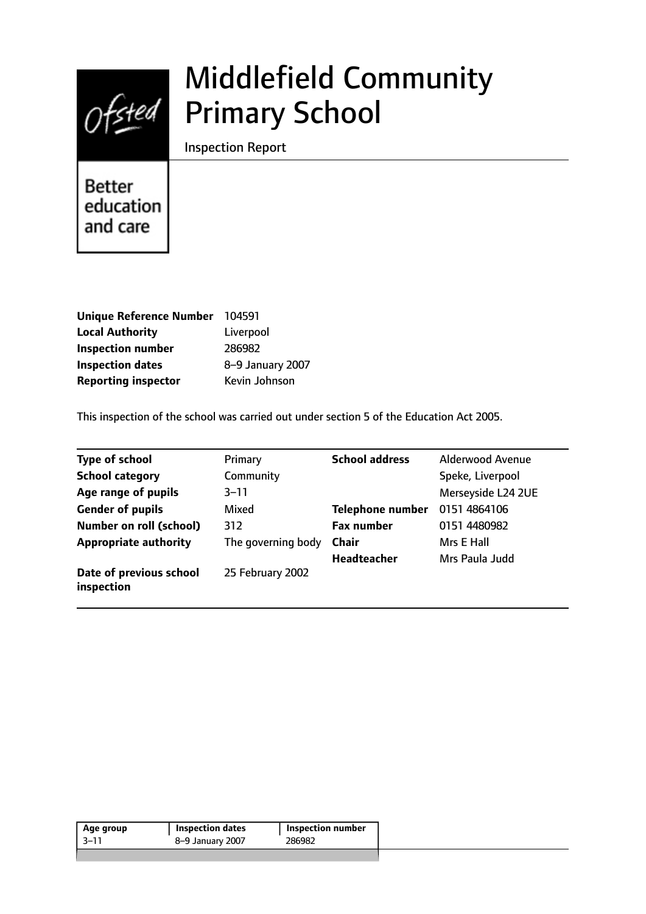

# Middlefield Community Primary School

Inspection Report

**Better** education and care

| <b>Unique Reference Number</b> | 104591           |
|--------------------------------|------------------|
| <b>Local Authority</b>         | Liverpool        |
| <b>Inspection number</b>       | 286982           |
| <b>Inspection dates</b>        | 8-9 January 2007 |
| <b>Reporting inspector</b>     | Kevin Johnson    |

This inspection of the school was carried out under section 5 of the Education Act 2005.

| <b>Type of school</b>                 | Primary            | <b>School address</b>   | <b>Alderwood Avenue</b> |
|---------------------------------------|--------------------|-------------------------|-------------------------|
| <b>School category</b>                | Community          |                         | Speke, Liverpool        |
| Age range of pupils                   | $3 - 11$           |                         | Merseyside L24 2UE      |
| <b>Gender of pupils</b>               | Mixed              | <b>Telephone number</b> | 0151 4864106            |
| <b>Number on roll (school)</b>        | 312                | <b>Fax number</b>       | 0151 4480982            |
| <b>Appropriate authority</b>          | The governing body | Chair                   | Mrs E Hall              |
|                                       |                    | <b>Headteacher</b>      | Mrs Paula Judd          |
| Date of previous school<br>inspection | 25 February 2002   |                         |                         |

| Age group | Inspection dates | <b>Inspection number</b> |
|-----------|------------------|--------------------------|
| $-3-11$   | 8-9 January 2007 | 286982                   |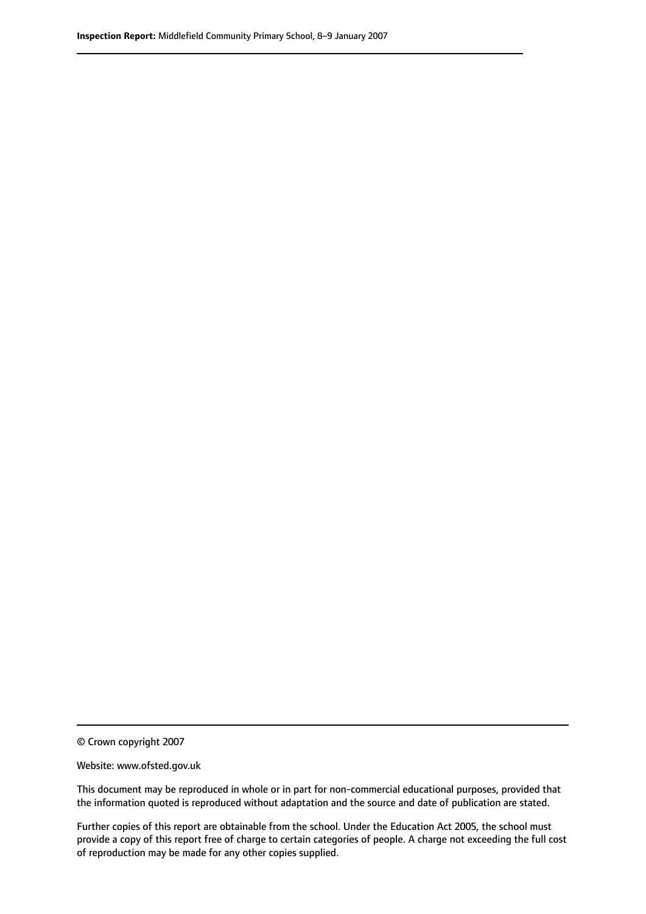© Crown copyright 2007

Website: www.ofsted.gov.uk

This document may be reproduced in whole or in part for non-commercial educational purposes, provided that the information quoted is reproduced without adaptation and the source and date of publication are stated.

Further copies of this report are obtainable from the school. Under the Education Act 2005, the school must provide a copy of this report free of charge to certain categories of people. A charge not exceeding the full cost of reproduction may be made for any other copies supplied.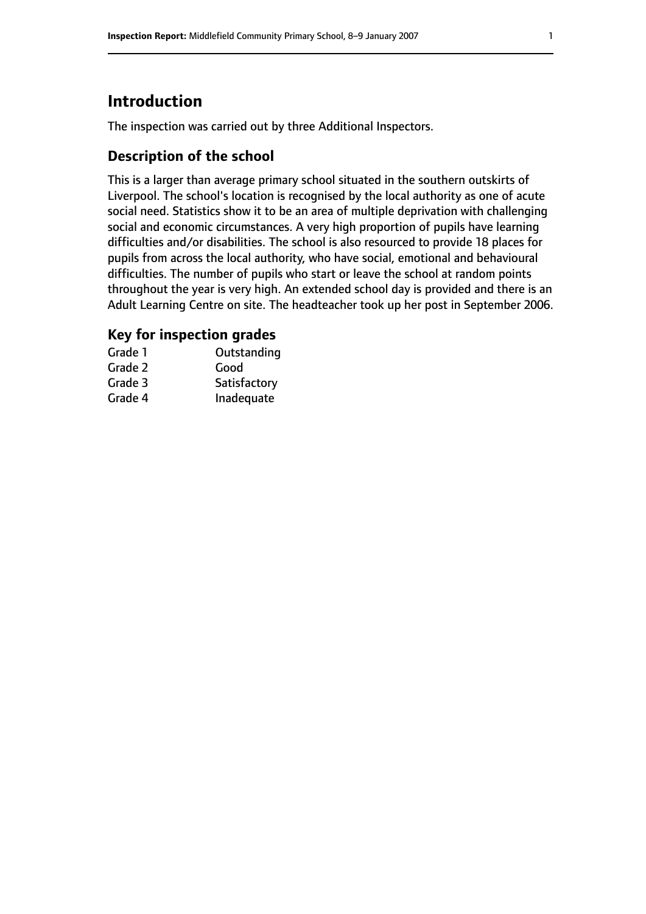# **Introduction**

The inspection was carried out by three Additional Inspectors.

## **Description of the school**

This is a larger than average primary school situated in the southern outskirts of Liverpool. The school's location is recognised by the local authority as one of acute social need. Statistics show it to be an area of multiple deprivation with challenging social and economic circumstances. A very high proportion of pupils have learning difficulties and/or disabilities. The school is also resourced to provide 18 places for pupils from across the local authority, who have social, emotional and behavioural difficulties. The number of pupils who start or leave the school at random points throughout the year is very high. An extended school day is provided and there is an Adult Learning Centre on site. The headteacher took up her post in September 2006.

## **Key for inspection grades**

| Grade 1 | Outstanding  |
|---------|--------------|
| Grade 2 | Good         |
| Grade 3 | Satisfactory |
| Grade 4 | Inadequate   |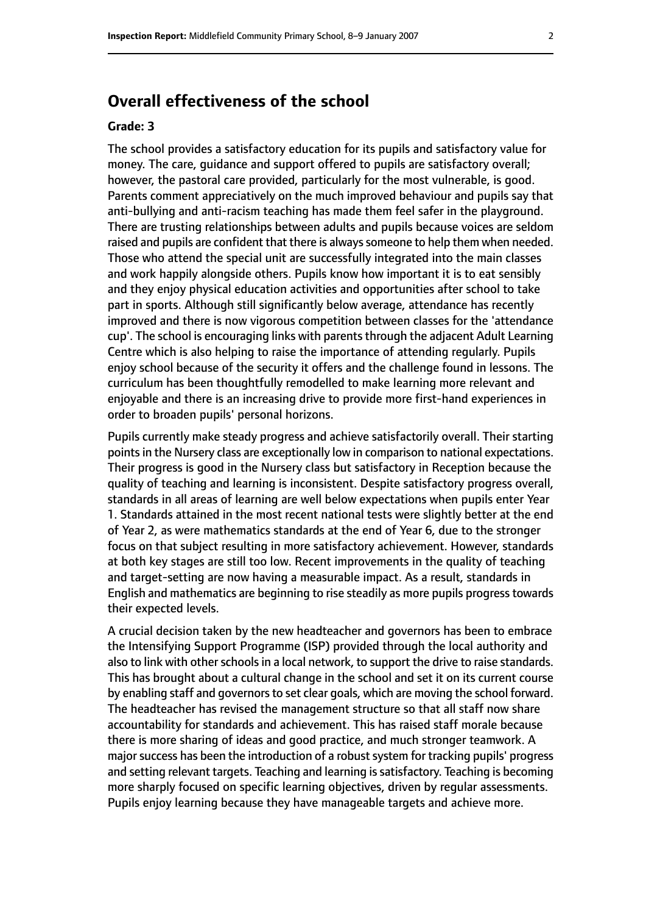# **Overall effectiveness of the school**

#### **Grade: 3**

The school provides a satisfactory education for its pupils and satisfactory value for money. The care, guidance and support offered to pupils are satisfactory overall; however, the pastoral care provided, particularly for the most vulnerable, is good. Parents comment appreciatively on the much improved behaviour and pupils say that anti-bullying and anti-racism teaching has made them feel safer in the playground. There are trusting relationships between adults and pupils because voices are seldom raised and pupils are confident that there is always someone to help them when needed. Those who attend the special unit are successfully integrated into the main classes and work happily alongside others. Pupils know how important it is to eat sensibly and they enjoy physical education activities and opportunities after school to take part in sports. Although still significantly below average, attendance has recently improved and there is now vigorous competition between classes for the 'attendance cup'. The school is encouraging links with parents through the adjacent Adult Learning Centre which is also helping to raise the importance of attending regularly. Pupils enjoy school because of the security it offers and the challenge found in lessons. The curriculum has been thoughtfully remodelled to make learning more relevant and enjoyable and there is an increasing drive to provide more first-hand experiences in order to broaden pupils' personal horizons.

Pupils currently make steady progress and achieve satisfactorily overall. Their starting points in the Nursery class are exceptionally low in comparison to national expectations. Their progress is good in the Nursery class but satisfactory in Reception because the quality of teaching and learning is inconsistent. Despite satisfactory progress overall, standards in all areas of learning are well below expectations when pupils enter Year 1. Standards attained in the most recent national tests were slightly better at the end of Year 2, as were mathematics standards at the end of Year 6, due to the stronger focus on that subject resulting in more satisfactory achievement. However, standards at both key stages are still too low. Recent improvements in the quality of teaching and target-setting are now having a measurable impact. As a result, standards in English and mathematics are beginning to rise steadily as more pupils progresstowards their expected levels.

A crucial decision taken by the new headteacher and governors has been to embrace the Intensifying Support Programme (ISP) provided through the local authority and also to link with other schools in a local network, to support the drive to raise standards. This has brought about a cultural change in the school and set it on its current course by enabling staff and governors to set clear goals, which are moving the school forward. The headteacher has revised the management structure so that all staff now share accountability for standards and achievement. This has raised staff morale because there is more sharing of ideas and good practice, and much stronger teamwork. A major success has been the introduction of a robust system for tracking pupils' progress and setting relevant targets. Teaching and learning is satisfactory. Teaching is becoming more sharply focused on specific learning objectives, driven by regular assessments. Pupils enjoy learning because they have manageable targets and achieve more.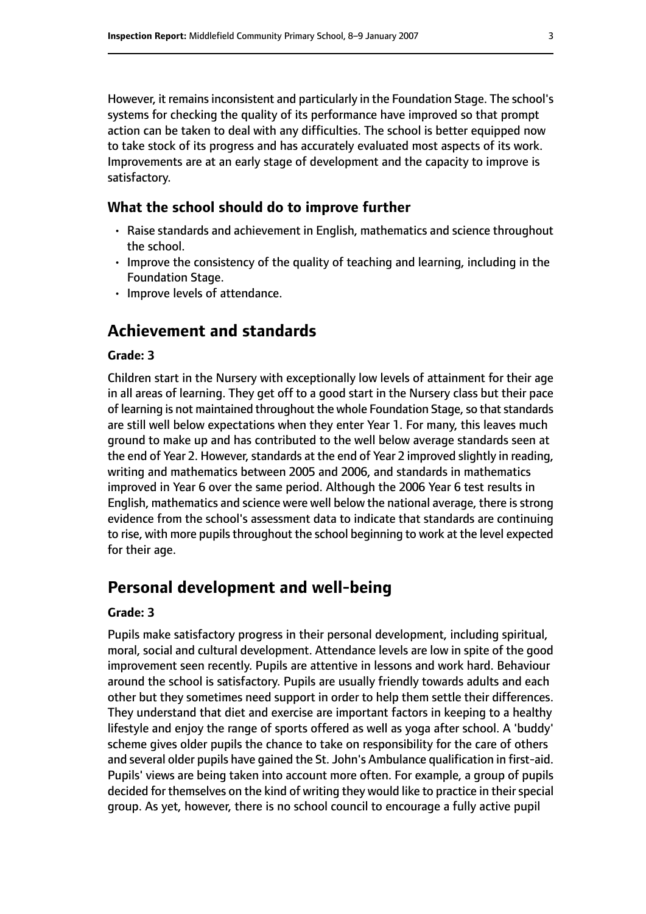However, it remains inconsistent and particularly in the Foundation Stage. The school's systems for checking the quality of its performance have improved so that prompt action can be taken to deal with any difficulties. The school is better equipped now to take stock of its progress and has accurately evaluated most aspects of its work. Improvements are at an early stage of development and the capacity to improve is satisfactory.

#### **What the school should do to improve further**

- Raise standards and achievement in English, mathematics and science throughout the school.
- Improve the consistency of the quality of teaching and learning, including in the Foundation Stage.
- Improve levels of attendance.

# **Achievement and standards**

#### **Grade: 3**

Children start in the Nursery with exceptionally low levels of attainment for their age in all areas of learning. They get off to a good start in the Nursery class but their pace of learning is not maintained throughout the whole Foundation Stage, so that standards are still well below expectations when they enter Year 1. For many, this leaves much ground to make up and has contributed to the well below average standards seen at the end of Year 2. However, standards at the end of Year 2 improved slightly in reading, writing and mathematics between 2005 and 2006, and standards in mathematics improved in Year 6 over the same period. Although the 2006 Year 6 test results in English, mathematics and science were well below the national average, there is strong evidence from the school's assessment data to indicate that standards are continuing to rise, with more pupils throughout the school beginning to work at the level expected for their age.

## **Personal development and well-being**

#### **Grade: 3**

Pupils make satisfactory progress in their personal development, including spiritual, moral, social and cultural development. Attendance levels are low in spite of the good improvement seen recently. Pupils are attentive in lessons and work hard. Behaviour around the school is satisfactory. Pupils are usually friendly towards adults and each other but they sometimes need support in order to help them settle their differences. They understand that diet and exercise are important factors in keeping to a healthy lifestyle and enjoy the range of sports offered as well as yoga after school. A 'buddy' scheme gives older pupils the chance to take on responsibility for the care of others and several older pupils have gained the St. John's Ambulance qualification in first-aid. Pupils' views are being taken into account more often. For example, a group of pupils decided for themselves on the kind of writing they would like to practice in their special group. As yet, however, there is no school council to encourage a fully active pupil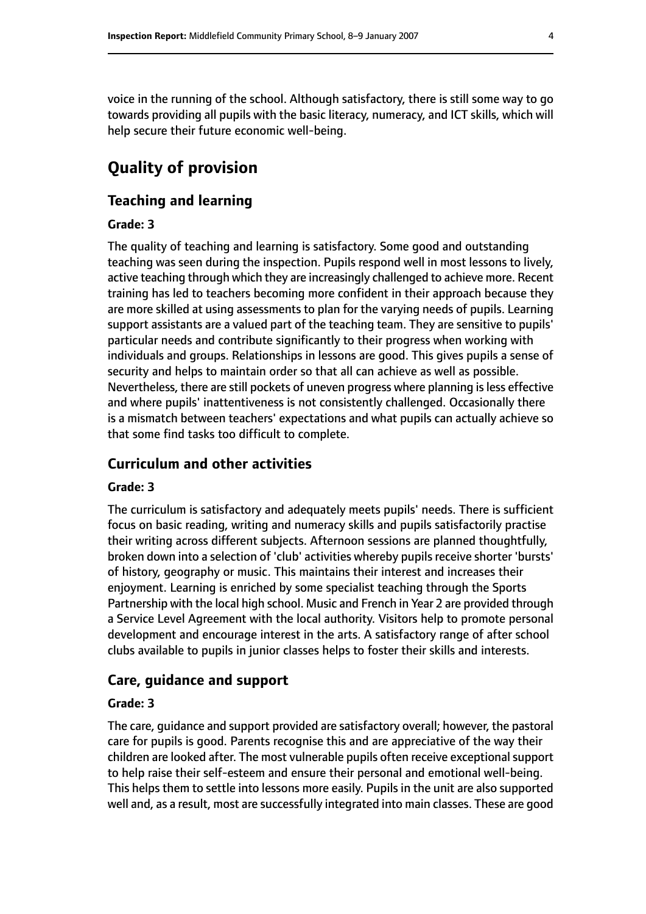voice in the running of the school. Although satisfactory, there is still some way to go towards providing all pupils with the basic literacy, numeracy, and ICT skills, which will help secure their future economic well-being.

# **Quality of provision**

#### **Teaching and learning**

#### **Grade: 3**

The quality of teaching and learning is satisfactory. Some good and outstanding teaching was seen during the inspection. Pupils respond well in most lessons to lively, active teaching through which they are increasingly challenged to achieve more. Recent training has led to teachers becoming more confident in their approach because they are more skilled at using assessments to plan for the varying needs of pupils. Learning support assistants are a valued part of the teaching team. They are sensitive to pupils' particular needs and contribute significantly to their progress when working with individuals and groups. Relationships in lessons are good. This gives pupils a sense of security and helps to maintain order so that all can achieve as well as possible. Nevertheless, there are still pockets of uneven progress where planning isless effective and where pupils' inattentiveness is not consistently challenged. Occasionally there is a mismatch between teachers' expectations and what pupils can actually achieve so that some find tasks too difficult to complete.

#### **Curriculum and other activities**

#### **Grade: 3**

The curriculum is satisfactory and adequately meets pupils' needs. There is sufficient focus on basic reading, writing and numeracy skills and pupils satisfactorily practise their writing across different subjects. Afternoon sessions are planned thoughtfully, broken down into a selection of 'club' activities whereby pupils receive shorter 'bursts' of history, geography or music. This maintains their interest and increases their enjoyment. Learning is enriched by some specialist teaching through the Sports Partnership with the local high school. Music and French in Year 2 are provided through a Service Level Agreement with the local authority. Visitors help to promote personal development and encourage interest in the arts. A satisfactory range of after school clubs available to pupils in junior classes helps to foster their skills and interests.

#### **Care, guidance and support**

#### **Grade: 3**

The care, guidance and support provided are satisfactory overall; however, the pastoral care for pupils is good. Parents recognise this and are appreciative of the way their children are looked after. The most vulnerable pupils often receive exceptional support to help raise their self-esteem and ensure their personal and emotional well-being. This helps them to settle into lessons more easily. Pupils in the unit are also supported well and, as a result, most are successfully integrated into main classes. These are good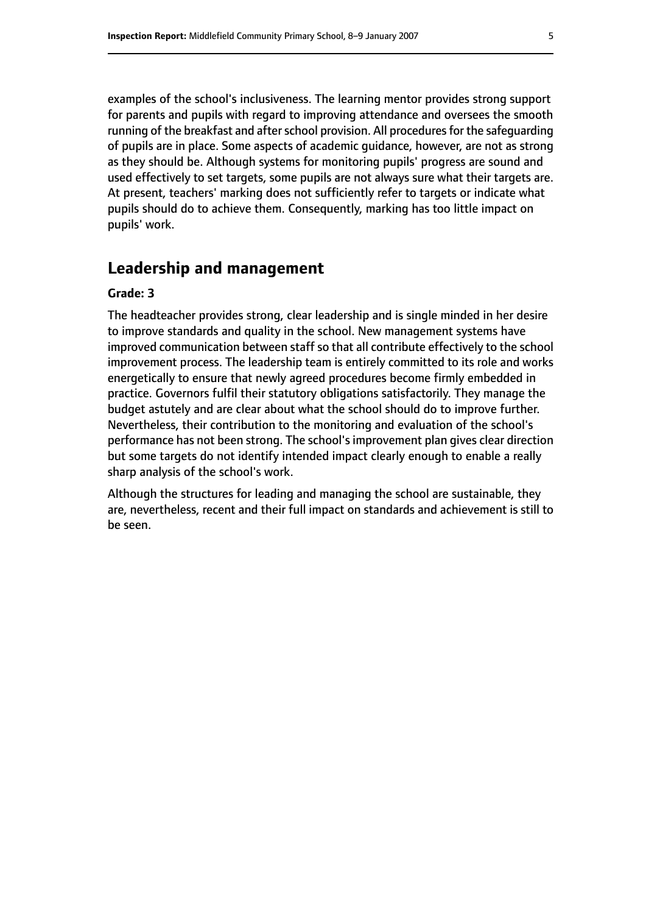examples of the school's inclusiveness. The learning mentor provides strong support for parents and pupils with regard to improving attendance and oversees the smooth running of the breakfast and after school provision. All procedures for the safeguarding of pupils are in place. Some aspects of academic guidance, however, are not as strong as they should be. Although systems for monitoring pupils' progress are sound and used effectively to set targets, some pupils are not always sure what their targets are. At present, teachers' marking does not sufficiently refer to targets or indicate what pupils should do to achieve them. Consequently, marking has too little impact on pupils' work.

# **Leadership and management**

#### **Grade: 3**

The headteacher provides strong, clear leadership and is single minded in her desire to improve standards and quality in the school. New management systems have improved communication between staff so that all contribute effectively to the school improvement process. The leadership team is entirely committed to its role and works energetically to ensure that newly agreed procedures become firmly embedded in practice. Governors fulfil their statutory obligations satisfactorily. They manage the budget astutely and are clear about what the school should do to improve further. Nevertheless, their contribution to the monitoring and evaluation of the school's performance has not been strong. The school's improvement plan gives clear direction but some targets do not identify intended impact clearly enough to enable a really sharp analysis of the school's work.

Although the structures for leading and managing the school are sustainable, they are, nevertheless, recent and their full impact on standards and achievement is still to be seen.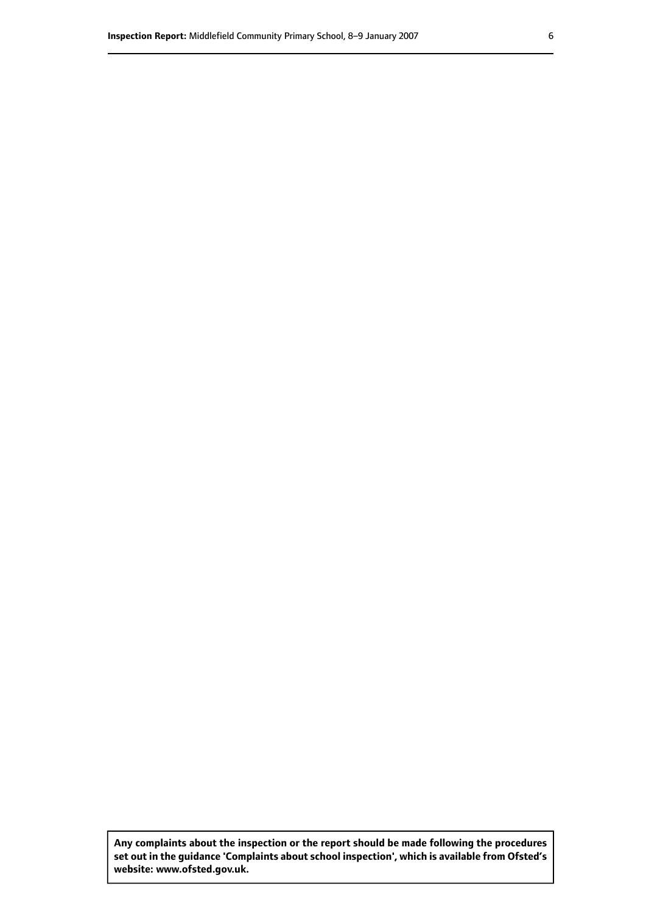**Any complaints about the inspection or the report should be made following the procedures set out inthe guidance 'Complaints about school inspection', whichis available from Ofsted's website: www.ofsted.gov.uk.**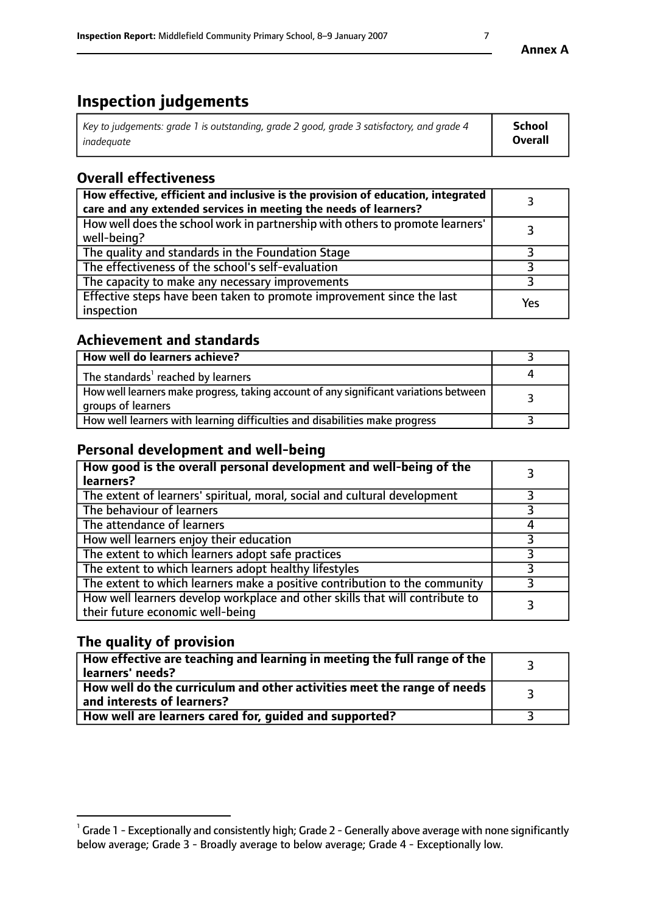# **Inspection judgements**

| Key to judgements: grade 1 is outstanding, grade 2 good, grade 3 satisfactory, and grade 4 | <b>School</b>  |
|--------------------------------------------------------------------------------------------|----------------|
| inadeauate                                                                                 | <b>Overall</b> |

# **Overall effectiveness**

| How effective, efficient and inclusive is the provision of education, integrated<br>care and any extended services in meeting the needs of learners? |     |
|------------------------------------------------------------------------------------------------------------------------------------------------------|-----|
| How well does the school work in partnership with others to promote learners'<br>well-being?                                                         |     |
| The quality and standards in the Foundation Stage                                                                                                    |     |
| The effectiveness of the school's self-evaluation                                                                                                    |     |
| The capacity to make any necessary improvements                                                                                                      |     |
| Effective steps have been taken to promote improvement since the last<br>inspection                                                                  | Yes |

## **Achievement and standards**

| How well do learners achieve?                                                                               |  |
|-------------------------------------------------------------------------------------------------------------|--|
| The standards <sup>1</sup> reached by learners                                                              |  |
| How well learners make progress, taking account of any significant variations between<br>groups of learners |  |
| How well learners with learning difficulties and disabilities make progress                                 |  |

## **Personal development and well-being**

| How good is the overall personal development and well-being of the<br>learners?                                  |  |
|------------------------------------------------------------------------------------------------------------------|--|
| The extent of learners' spiritual, moral, social and cultural development                                        |  |
| The behaviour of learners                                                                                        |  |
| The attendance of learners                                                                                       |  |
| How well learners enjoy their education                                                                          |  |
| The extent to which learners adopt safe practices                                                                |  |
| The extent to which learners adopt healthy lifestyles                                                            |  |
| The extent to which learners make a positive contribution to the community                                       |  |
| How well learners develop workplace and other skills that will contribute to<br>their future economic well-being |  |

# **The quality of provision**

| How effective are teaching and learning in meeting the full range of the<br>  learners' needs?                      |  |
|---------------------------------------------------------------------------------------------------------------------|--|
| $\mid$ How well do the curriculum and other activities meet the range of needs<br>$\mid$ and interests of learners? |  |
| How well are learners cared for, quided and supported?                                                              |  |

 $^1$  Grade 1 - Exceptionally and consistently high; Grade 2 - Generally above average with none significantly below average; Grade 3 - Broadly average to below average; Grade 4 - Exceptionally low.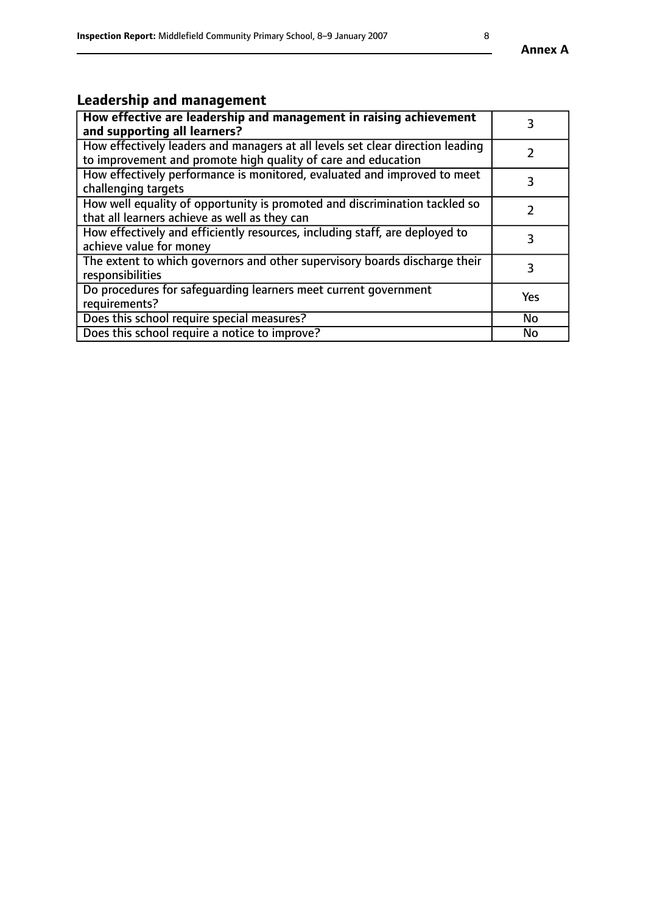# **Leadership and management**

| How effective are leadership and management in raising achievement<br>and supporting all learners?                                              |           |
|-------------------------------------------------------------------------------------------------------------------------------------------------|-----------|
| How effectively leaders and managers at all levels set clear direction leading<br>to improvement and promote high quality of care and education |           |
| How effectively performance is monitored, evaluated and improved to meet<br>challenging targets                                                 | 3         |
| How well equality of opportunity is promoted and discrimination tackled so<br>that all learners achieve as well as they can                     |           |
| How effectively and efficiently resources, including staff, are deployed to<br>achieve value for money                                          | 3         |
| The extent to which governors and other supervisory boards discharge their<br>responsibilities                                                  | 3         |
| Do procedures for safequarding learners meet current government<br>requirements?                                                                | Yes       |
| Does this school require special measures?                                                                                                      | No        |
| Does this school require a notice to improve?                                                                                                   | <b>No</b> |